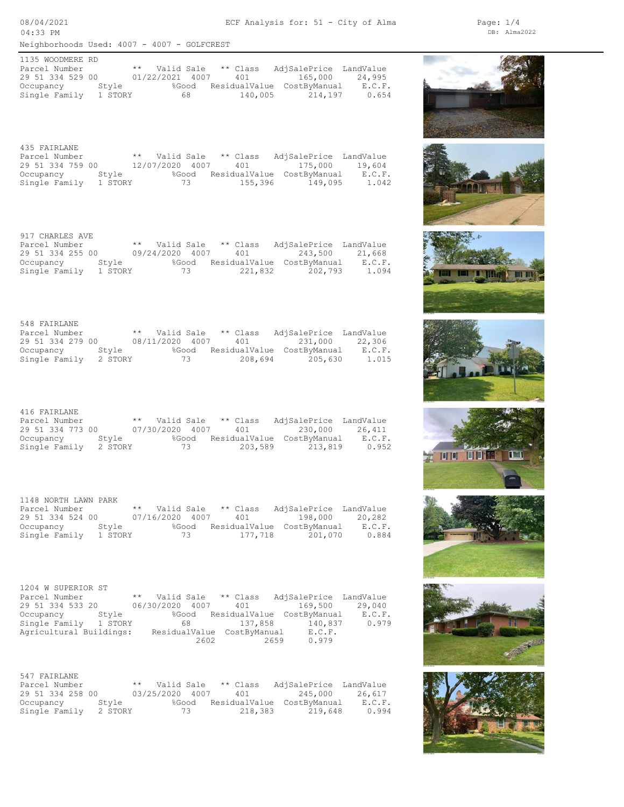Neighborhoods Used: 4007 - 4007 - GOLFCREST 08/04/2021 04:33 PM

ECF Analysis for: 51 - City of Alma

DB: Alma2022 Page: 1/4

Single Family 1 STORY 68 140,005 214,197 0.654 Occupancy Style %Good ResidualValue CostByManual E.C.F. 29 51 334 529 00 01/22/2021 4007 401 165,000 24,995 Parcel Number \*\* Valid Sale \*\* Class AdjSalePrice LandValue 1135 WOODMERE RD

Single Family 1 STORY 73 155,396 149,095 1.042 Occupancy Style %Good ResidualValue CostByManual E.C.F. 29 51 334 759 00 12/07/2020 4007 401 175,000 19,604 Parcel Number \*\* Valid Sale \*\* Class AdjSalePrice LandValue 435 FAIRLANE

Single Family 1 STORY 73 221,832 202,793 1.094 Occupancy Style %Good ResidualValue CostByManual E.C.F. 29 51 334 255 00 09/24/2020 4007 401 243,500 21,668 Parcel Number \*\* Valid Sale \*\* Class AdjSalePrice LandValue 917 CHARLES AVE

Single Family 2 STORY 73 208,694 205,630 1.015 Occupancy Style %Good ResidualValue CostByManual E.C.F. 29 51 334 279 00 08/11/2020 4007 401 231,000 22,306 Parcel Number \*\* Valid Sale \*\* Class AdjSalePrice LandValue 548 FAIRLANE

Single Family 2 STORY 73 203,589 213,819 0.952 Occupancy Style %Good ResidualValue CostByManual E.C.F. 29 51 334 773 00 07/30/2020 4007 401 230,000 26,411 Parcel Number \*\* Valid Sale \*\* Class AdjSalePrice LandValue 416 FAIRLANE

Single Family 1 STORY 73 177,718 201,070 0.884 Occupancy Style %Good ResidualValue CostByManual E.C.F. 29 51 334 524 00 07/16/2020 4007 401 198,000 20,282 Parcel Number \*\* Valid Sale \*\* Class AdjSalePrice LandValue 1148 NORTH LAWN PARK

 2602 2659 0.979 Agricultural Buildings: ResidualValue CostByManual E.C.F. Single Family 1 STORY 68 137,858 140,837 0.979 Occupancy Style %Good ResidualValue CostByManual E.C.F. 29 51 334 533 20 06/30/2020 4007 401 169,500 29,040 Parcel Number \*\* Valid Sale \*\* Class AdjSalePrice LandValue 1204 W SUPERIOR ST

| 547 FAIRLANE     |         |                 |       |          |                            |        |
|------------------|---------|-----------------|-------|----------|----------------------------|--------|
| Parcel Number    |         | ** Valid Sale   |       | ** Class | AdjSalePrice LandValue     |        |
| 29 51 334 258 00 |         | 03/25/2020 4007 |       | 401      | 245.000                    | 26,617 |
| Occupancy        | Stvle   |                 | %Good |          | ResidualValue CostByManual | E.C.F. |
| Single Family    | 2 STORY |                 | 73    | 218,383  | 219,648                    | 0.994  |











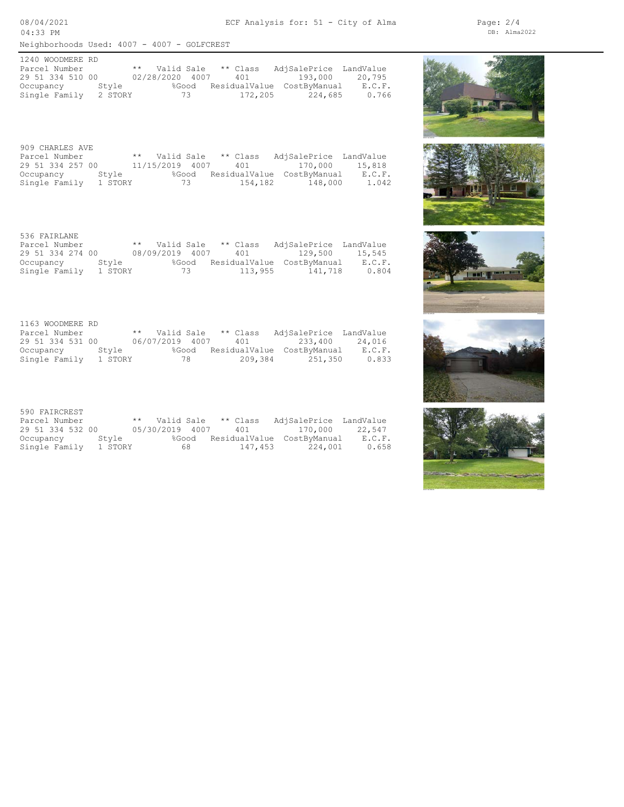Neighborhoods Used: 4007 - 4007 - GOLFCREST 08/04/2021 04:33 PM

Single Family 2 STORY 73 172,205 224,685 0.766 Occupancy Style %Good ResidualValue CostByManual E.C.F. 29 51 334 510 00 02/28/2020 4007 401 193,000 20,795 Parcel Number \*\* Valid Sale \*\* Class AdjSalePrice LandValue 1240 WOODMERE RD

ECF Analysis for: 51 - City of Alma

Single Family 1 STORY 73 154,182 148,000 1.042 Occupancy Style %Good ResidualValue CostByManual E.C.F. 29 51 334 257 00 11/15/2019 4007 401 170,000 15,818 Parcel Number \*\* Valid Sale \*\* Class AdjSalePrice LandValue 909 CHARLES AVE

Single Family 1 STORY 73 113,955 141,718 0.804 Occupancy Style %Good ResidualValue CostByManual E.C.F. 29 51 334 274 00 08/09/2019 4007 401 129,500 15,545 Parcel Number \*\* Valid Sale \*\* Class AdjSalePrice LandValue 536 FAIRLANE

Single Family 1 STORY 78 209,384 251,350 0.833 Occupancy Style %Good ResidualValue CostByManual E.C.F. 29 51 334 531 00 06/07/2019 4007 401 233,400 24,016 Parcel Number \*\* Valid Sale \*\* Class AdjSalePrice LandValue 1163 WOODMERE RD

| 590 FAIRCREST    |         |                     |       |          |                            |        |
|------------------|---------|---------------------|-------|----------|----------------------------|--------|
| Parcel Number    |         | ** Valid Sale       |       | ** Class | AdjSalePrice LandValue     |        |
| 29 51 334 532 00 |         | 05/30/2019 4007 401 |       |          | 170,000 22,547             |        |
| Occupancy        | Stvle   |                     | %Good |          | ResidualValue CostByManual | E.C.F. |
| Single Family    | 1 STORY |                     | 68 -  | 147,453  | 224,001                    | 0.658  |











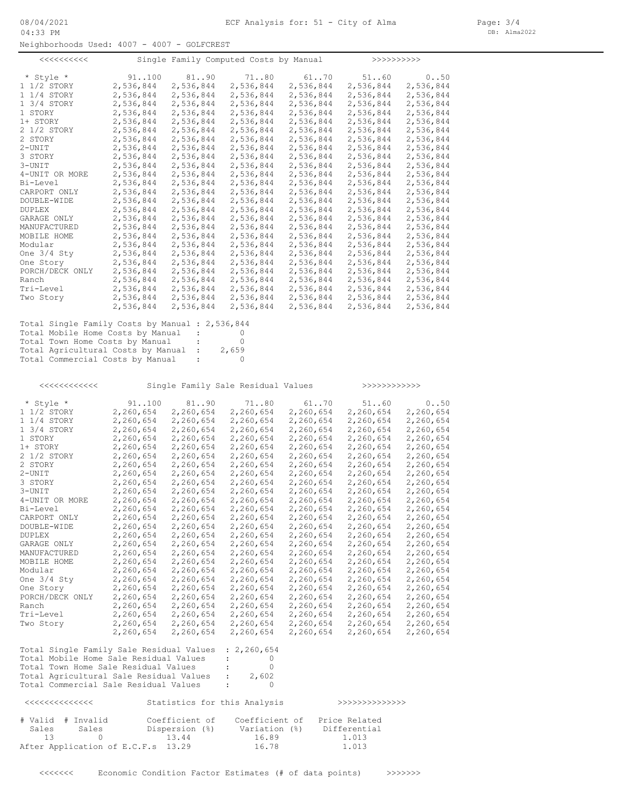Neighborhoods Used: 4007 - 4007 - GOLFCREST

|                                                 |               |                      | Single Family Computed Costs by Manual |           | >>>>>>>>>>>    |           |
|-------------------------------------------------|---------------|----------------------|----------------------------------------|-----------|----------------|-----------|
| * Style *                                       | 91.100        | 8190                 | 71.080                                 | 61.070    | 51.060         | 0.050     |
| 1 1/2 STORY                                     | 2,536,844     | 2,536,844            | 2,536,844                              | 2,536,844 | 2,536,844      | 2,536,844 |
| 1 1/4 STORY                                     | 2,536,844     | 2,536,844            | 2,536,844                              | 2,536,844 | 2,536,844      | 2,536,844 |
| 1 3/4 STORY                                     | 2,536,844     | 2,536,844            | 2,536,844                              | 2,536,844 | 2,536,844      | 2,536,844 |
| 1 STORY                                         | 2,536,844     | 2,536,844            | 2,536,844                              | 2,536,844 | 2,536,844      | 2,536,844 |
| 1+ STORY                                        | 2,536,844     | 2,536,844            | 2,536,844                              | 2,536,844 | 2,536,844      | 2,536,844 |
| 2 1/2 STORY                                     | 2,536,844     | 2,536,844            | 2,536,844                              | 2,536,844 | 2,536,844      | 2,536,844 |
| 2 STORY                                         | 2,536,844     | 2,536,844            | 2,536,844                              | 2,536,844 | 2,536,844      | 2,536,844 |
| $2 - UNIT$                                      | 2,536,844     | 2,536,844            | 2,536,844                              | 2,536,844 | 2,536,844      | 2,536,844 |
| 3 STORY                                         | 2,536,844     | 2,536,844            | 2,536,844                              | 2,536,844 | 2,536,844      | 2,536,844 |
| $3 - UNIT$                                      | 2,536,844     | 2,536,844            | 2,536,844                              | 2,536,844 | 2,536,844      | 2,536,844 |
| 4-UNIT OR MORE                                  | 2,536,844     | 2,536,844            | 2,536,844                              | 2,536,844 | 2,536,844      | 2,536,844 |
| Bi-Level                                        | 2,536,844     | 2,536,844            | 2,536,844                              | 2,536,844 | 2,536,844      | 2,536,844 |
| CARPORT ONLY                                    | 2,536,844     | 2,536,844            | 2,536,844                              | 2,536,844 | 2,536,844      | 2,536,844 |
|                                                 |               |                      |                                        |           |                |           |
| DOUBLE-WIDE                                     | 2,536,844     | 2,536,844            | 2,536,844                              | 2,536,844 | 2,536,844      | 2,536,844 |
| <b>DUPLEX</b>                                   | 2,536,844     | 2,536,844            | 2,536,844                              | 2,536,844 | 2,536,844      | 2,536,844 |
| GARAGE ONLY                                     | 2,536,844     | 2,536,844            | 2,536,844                              | 2,536,844 | 2,536,844      | 2,536,844 |
| MANUFACTURED                                    | 2,536,844     | 2,536,844            | 2,536,844                              | 2,536,844 | 2,536,844      | 2,536,844 |
| MOBILE HOME                                     | 2,536,844     | 2,536,844            | 2,536,844                              | 2,536,844 | 2,536,844      | 2,536,844 |
| Modular                                         | 2,536,844     | 2,536,844            | 2,536,844                              | 2,536,844 | 2,536,844      | 2,536,844 |
| One $3/4$ Sty                                   | 2,536,844     | 2,536,844            | 2,536,844                              | 2,536,844 | 2,536,844      | 2,536,844 |
| One Story                                       | 2,536,844     | 2,536,844            | 2,536,844                              | 2,536,844 | 2,536,844      | 2,536,844 |
| PORCH/DECK ONLY                                 | 2,536,844     | 2,536,844            | 2,536,844                              | 2,536,844 | 2,536,844      | 2,536,844 |
| Ranch                                           | 2,536,844     | 2,536,844            | 2,536,844                              | 2,536,844 | 2,536,844      | 2,536,844 |
| Tri-Level                                       | 2,536,844     | 2,536,844            | 2,536,844                              | 2,536,844 | 2,536,844      | 2,536,844 |
| Two Story                                       | 2,536,844     | 2,536,844            | 2,536,844                              | 2,536,844 | 2,536,844      | 2,536,844 |
|                                                 | 2,536,844     | 2,536,844            | 2,536,844                              | 2,536,844 | 2,536,844      | 2,536,844 |
| Total Single Family Costs by Manual : 2,536,844 |               |                      |                                        |           |                |           |
| Total Mobile Home Costs by Manual               |               | $\sim 100$           | 0                                      |           |                |           |
| Total Town Home Costs by Manual                 |               | $\ddot{\phantom{a}}$ | 0                                      |           |                |           |
| Total Agricultural Costs by Manual :            |               |                      | 2,659                                  |           |                |           |
| Total Commercial Costs by Manual                |               | $\sim 100$           | $\circ$                                |           |                |           |
|                                                 |               |                      |                                        |           |                |           |
|                                                 |               |                      | Single Family Sale Residual Values     |           | >>>>>>>>>>>>>> |           |
|                                                 |               |                      |                                        |           |                |           |
| * Style *                                       | 91.100        | 81.090               | 7180                                   | 61.070    | 5160           | 0.050     |
| 1 1/2 STORY                                     | 2,260,654     | 2,260,654            | 2,260,654                              | 2,260,654 | 2,260,654      | 2,260,654 |
| 1 1/4 STORY                                     | 2,260,654     | 2,260,654            | 2,260,654                              | 2,260,654 | 2,260,654      | 2,260,654 |
| 1 3/4 STORY                                     | 2,260,654     | 2,260,654            | 2,260,654                              | 2,260,654 | 2,260,654      | 2,260,654 |
| 1 STORY                                         | 2,260,654     | 2,260,654            | 2,260,654                              | 2,260,654 | 2,260,654      | 2,260,654 |
| 1+ STORY                                        | 2,260,654     | 2,260,654            | 2,260,654                              | 2,260,654 | 2,260,654      | 2,260,654 |
| 2 1/2 STORY                                     | 2,260,654     | 2,260,654            | 2,260,654                              | 2,260,654 | 2,260,654      | 2,260,654 |
| 2. CHODY                                        | $2.200$ $CFA$ | $2.200$ $CEM$        | $2.200$ $CEA$                          | 2.20000   | 2.200000       | 2.20000   |

| 2 1/2 STORY     | 2,260,654 | 2,260,654 | 2,260,654 | 2,260,654 | 2,260,654 | 2,260,654 |
|-----------------|-----------|-----------|-----------|-----------|-----------|-----------|
| 2 STORY         | 2,260,654 | 2,260,654 | 2,260,654 | 2,260,654 | 2,260,654 | 2,260,654 |
| 2-UNIT          | 2,260,654 | 2,260,654 | 2,260,654 | 2,260,654 | 2,260,654 | 2,260,654 |
| 3 STORY         | 2,260,654 | 2,260,654 | 2,260,654 | 2,260,654 | 2,260,654 | 2,260,654 |
| 3-UNIT          | 2,260,654 | 2,260,654 | 2,260,654 | 2,260,654 | 2,260,654 | 2,260,654 |
| 4-UNIT OR MORE  | 2,260,654 | 2,260,654 | 2,260,654 | 2,260,654 | 2,260,654 | 2,260,654 |
| Bi-Level        | 2,260,654 | 2,260,654 | 2,260,654 | 2,260,654 | 2,260,654 | 2,260,654 |
| CARPORT ONLY    | 2,260,654 | 2,260,654 | 2,260,654 | 2,260,654 | 2,260,654 | 2,260,654 |
| DOUBLE-WIDE     | 2,260,654 | 2,260,654 | 2,260,654 | 2,260,654 | 2,260,654 | 2,260,654 |
| <b>DUPLEX</b>   | 2,260,654 | 2,260,654 | 2,260,654 | 2,260,654 | 2,260,654 | 2,260,654 |
| GARAGE ONLY     | 2,260,654 | 2,260,654 | 2,260,654 | 2,260,654 | 2,260,654 | 2,260,654 |
| MANUFACTURED    | 2,260,654 | 2,260,654 | 2,260,654 | 2,260,654 | 2,260,654 | 2,260,654 |
| MOBILE HOME     | 2,260,654 | 2,260,654 | 2,260,654 | 2,260,654 | 2,260,654 | 2,260,654 |
| Modular         | 2,260,654 | 2,260,654 | 2,260,654 | 2,260,654 | 2,260,654 | 2,260,654 |
| One $3/4$ Sty   | 2,260,654 | 2,260,654 | 2,260,654 | 2,260,654 | 2,260,654 | 2,260,654 |
| One Story       | 2,260,654 | 2,260,654 | 2,260,654 | 2,260,654 | 2,260,654 | 2,260,654 |
| PORCH/DECK ONLY | 2,260,654 | 2,260,654 | 2,260,654 | 2,260,654 | 2,260,654 | 2,260,654 |
| Ranch           | 2,260,654 | 2,260,654 | 2,260,654 | 2,260,654 | 2,260,654 | 2,260,654 |
| Tri-Level       | 2,260,654 | 2,260,654 | 2,260,654 | 2,260,654 | 2,260,654 | 2,260,654 |
| Two Story       | 2,260,654 | 2,260,654 | 2,260,654 | 2,260,654 | 2,260,654 | 2,260,654 |
|                 |           |           |           |           |           |           |

2,260,654 2,260,654 2,260,654 2,260,654 2,260,654 2,260,654

| Total Single Family Sale Residual Values : 2,260,654 |               |       |
|------------------------------------------------------|---------------|-------|
| Total Mobile Home Sale Residual Values               | $\mathcal{L}$ |       |
| Total Town Home Sale Residual Values                 | $\mathbb{R}$  |       |
| Total Agricultural Sale Residual Values              | $\mathcal{L}$ | 2,602 |
| Total Commercial Sale Residual Values                | $\mathcal{L}$ |       |

|                   |       |                                    | Statistics for this Analysis |               |  |
|-------------------|-------|------------------------------------|------------------------------|---------------|--|
| # Valid # Invalid |       | Coefficient of                     | Coefficient of               | Price Related |  |
| Sales             | Sales | Dispersion (%)                     | Variation (%)                | Differential  |  |
| 13                |       | 13.44                              | 16.89                        | 1.013         |  |
|                   |       | After Application of E.C.F.s 13.29 | 16.78                        | 1.013         |  |